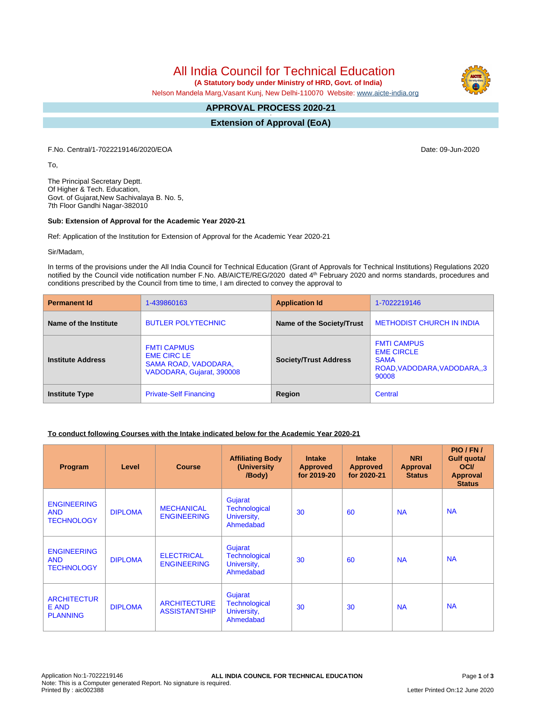All India Council for Technical Education

 **(A Statutory body under Ministry of HRD, Govt. of India)**

Nelson Mandela Marg,Vasant Kunj, New Delhi-110070 Website: [www.aicte-india.org](http://www.aicte-india.org)

# **APPROVAL PROCESS 2020-21**

**- Extension of Approval (EoA)**

F.No. Central/1-7022219146/2020/EOA Date: 09-Jun-2020

To,

The Principal Secretary Deptt. Of Higher & Tech. Education, Govt. of Gujarat,New Sachivalaya B. No. 5, 7th Floor Gandhi Nagar-382010

#### **Sub: Extension of Approval for the Academic Year 2020-21**

Ref: Application of the Institution for Extension of Approval for the Academic Year 2020-21

Sir/Madam,

In terms of the provisions under the All India Council for Technical Education (Grant of Approvals for Technical Institutions) Regulations 2020 notified by the Council vide notification number F.No. AB/AICTE/REG/2020 dated 4<sup>th</sup> February 2020 and norms standards, procedures and conditions prescribed by the Council from time to time, I am directed to convey the approval to

| <b>Permanent Id</b>      | 1-439860163                                                                                   | <b>Application Id</b>        | 1-7022219146                                                                                   |  |
|--------------------------|-----------------------------------------------------------------------------------------------|------------------------------|------------------------------------------------------------------------------------------------|--|
| Name of the Institute    | <b>BUTLER POLYTECHNIC</b>                                                                     | Name of the Society/Trust    | <b>METHODIST CHURCH IN INDIA</b>                                                               |  |
| <b>Institute Address</b> | <b>FMTI CAPMUS</b><br><b>EME CIRC LE</b><br>SAMA ROAD, VADODARA,<br>VADODARA, Gujarat, 390008 | <b>Society/Trust Address</b> | <b>FMTI CAMPUS</b><br><b>EME CIRCLE</b><br><b>SAMA</b><br>ROAD, VADODARA, VADODARA, 3<br>90008 |  |
| <b>Institute Type</b>    | <b>Private-Self Financing</b>                                                                 | Region                       | Central                                                                                        |  |

## **To conduct following Courses with the Intake indicated below for the Academic Year 2020-21**

| Program                                               | Level          | <b>Course</b>                               | <b>Affiliating Body</b><br>(University)<br>/Body)           | <b>Intake</b><br><b>Approved</b><br>for 2019-20 | <b>Intake</b><br><b>Approved</b><br>for 2020-21 | <b>NRI</b><br>Approval<br><b>Status</b> | PIO/FN/<br><b>Gulf quotal</b><br><b>OCI</b><br><b>Approval</b><br><b>Status</b> |
|-------------------------------------------------------|----------------|---------------------------------------------|-------------------------------------------------------------|-------------------------------------------------|-------------------------------------------------|-----------------------------------------|---------------------------------------------------------------------------------|
| <b>ENGINEERING</b><br><b>AND</b><br><b>TECHNOLOGY</b> | <b>DIPLOMA</b> | <b>MECHANICAL</b><br><b>ENGINEERING</b>     | Gujarat<br><b>Technological</b><br>University,<br>Ahmedabad | 30                                              | 60                                              | <b>NA</b>                               | <b>NA</b>                                                                       |
| <b>ENGINEERING</b><br><b>AND</b><br><b>TECHNOLOGY</b> | <b>DIPLOMA</b> | <b>ELECTRICAL</b><br><b>ENGINEERING</b>     | Gujarat<br><b>Technological</b><br>University,<br>Ahmedabad | 30                                              | 60                                              | <b>NA</b>                               | <b>NA</b>                                                                       |
| <b>ARCHITECTUR</b><br>E AND<br><b>PLANNING</b>        | <b>DIPLOMA</b> | <b>ARCHITECTURE</b><br><b>ASSISTANTSHIP</b> | Gujarat<br><b>Technological</b><br>University,<br>Ahmedabad | 30                                              | 30                                              | <b>NA</b>                               | <b>NA</b>                                                                       |

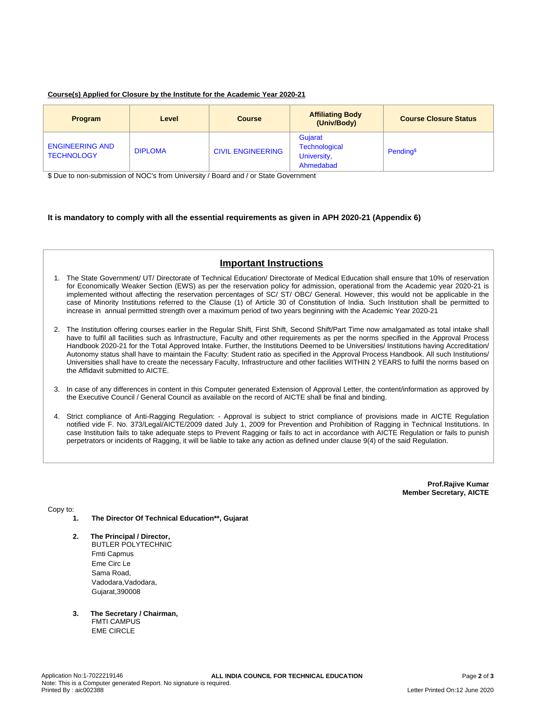## **Course(s) Applied for Closure by the Institute for the Academic Year 2020-21**

| <b>Program</b>                              | Level          | <b>Course</b>            | <b>Affiliating Body</b><br>(Univ/Body)               | <b>Course Closure Status</b> |
|---------------------------------------------|----------------|--------------------------|------------------------------------------------------|------------------------------|
| <b>ENGINEERING AND</b><br><b>TECHNOLOGY</b> | <b>DIPLOMA</b> | <b>CIVIL ENGINEERING</b> | Gujarat<br>Technological<br>University,<br>Ahmedabad | Pending <sup>\$</sup>        |

\$ Due to non-submission of NOC's from University / Board and / or State Government

## **It is mandatory to comply with all the essential requirements as given in APH 2020-21 (Appendix 6)**

## **Important Instructions**

- 1. The State Government/ UT/ Directorate of Technical Education/ Directorate of Medical Education shall ensure that 10% of reservation for Economically Weaker Section (EWS) as per the reservation policy for admission, operational from the Academic year 2020-21 is implemented without affecting the reservation percentages of SC/ ST/ OBC/ General. However, this would not be applicable in the case of Minority Institutions referred to the Clause (1) of Article 30 of Constitution of India. Such Institution shall be permitted to increase in annual permitted strength over a maximum period of two years beginning with the Academic Year 2020-21
- 2. The Institution offering courses earlier in the Regular Shift, First Shift, Second Shift/Part Time now amalgamated as total intake shall have to fulfil all facilities such as Infrastructure, Faculty and other requirements as per the norms specified in the Approval Process Handbook 2020-21 for the Total Approved Intake. Further, the Institutions Deemed to be Universities/ Institutions having Accreditation/ Autonomy status shall have to maintain the Faculty: Student ratio as specified in the Approval Process Handbook. All such Institutions/ Universities shall have to create the necessary Faculty, Infrastructure and other facilities WITHIN 2 YEARS to fulfil the norms based on the Affidavit submitted to AICTE.
- 3. In case of any differences in content in this Computer generated Extension of Approval Letter, the content/information as approved by the Executive Council / General Council as available on the record of AICTE shall be final and binding.
- 4. Strict compliance of Anti-Ragging Regulation: Approval is subject to strict compliance of provisions made in AICTE Regulation notified vide F. No. 373/Legal/AICTE/2009 dated July 1, 2009 for Prevention and Prohibition of Ragging in Technical Institutions. In case Institution fails to take adequate steps to Prevent Ragging or fails to act in accordance with AICTE Regulation or fails to punish perpetrators or incidents of Ragging, it will be liable to take any action as defined under clause 9(4) of the said Regulation.

**Prof.Rajive Kumar Member Secretary, AICTE**

Copy to:

- **1. The Director Of Technical Education\*\*, Gujarat**
- **2. The Principal / Director,** BUTLER POLYTECHNIC Fmti Capmus Eme Circ Le Sama Road, Vadodara,Vadodara, Gujarat,390008
- **3. The Secretary / Chairman, FMTI CAMPUS** EME CIRCLE